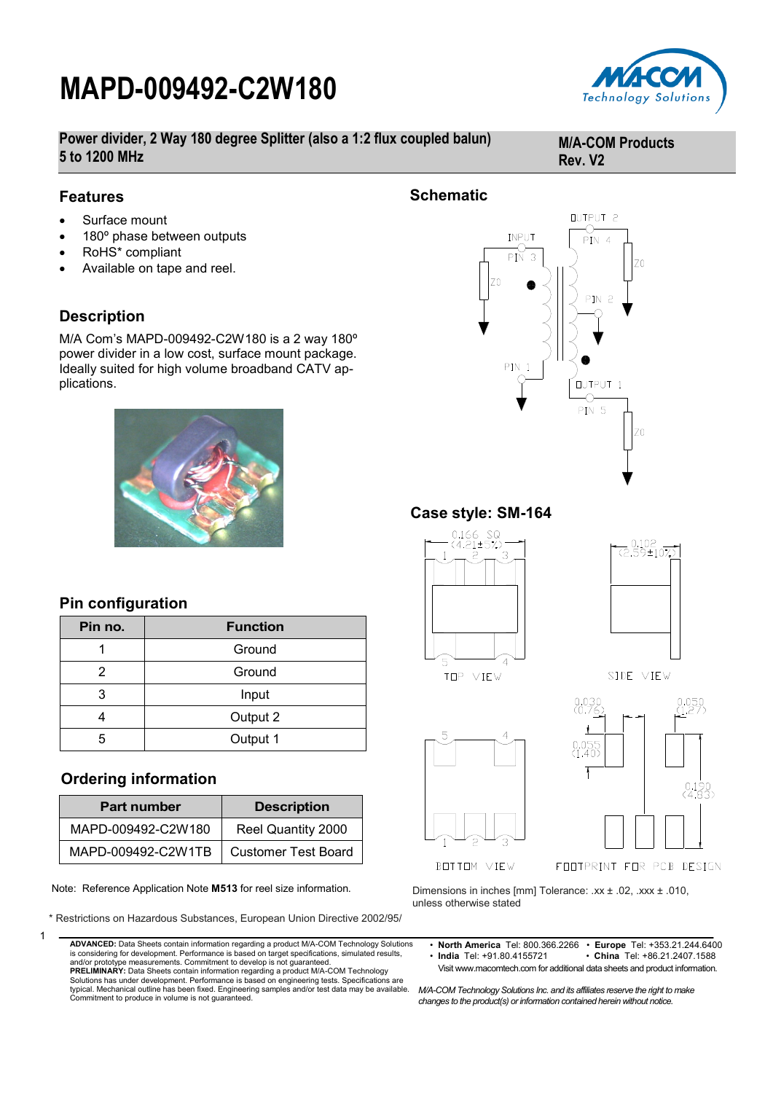# **MAPD-009492-C2W180**



**Power divider, 2 Way 180 degree Splitter (also a 1:2 flux coupled balun) 5 to 1200 MHz**

#### **M/A-COM Products Rev. V2**

#### **Features**

- Surface mount
- 180º phase between outputs
- RoHS\* compliant
- Available on tape and reel.

### **Description**

M/A Com's MAPD-009492-C2W180 is a 2 way 180º power divider in a low cost, surface mount package. Ideally suited for high volume broadband CATV applications.



### **Pin configuration**

| Pin no. | <b>Function</b> |  |
|---------|-----------------|--|
|         | Ground          |  |
| 2       | Ground          |  |
| 3       | Input           |  |
|         | Output 2        |  |
| 5       | Output 1        |  |

### **Ordering information**

| <b>Part number</b> | <b>Description</b>         |  |  |
|--------------------|----------------------------|--|--|
| MAPD-009492-C2W180 | Reel Quantity 2000         |  |  |
| MAPD-009492-C2W1TB | <b>Customer Test Board</b> |  |  |

Note: Reference Application Note **M513** for reel size information.

\* Restrictions on Hazardous Substances, European Union Directive 2002/95/



**ADVANCED:** Data Sheets contain information regarding a product M/A-COM Technology Solutions is considering for development. Performance is based on target specifications, simulated results, and/or prototype measurements. Commitment to develop is not guaranteed.

**PRELIMINARY:** Data Sheets contain information regarding a product M/A-COM Technology Solutions has under development. Performance is based on engineering tests. Specifications are typical. Mechanical outline has been fixed. Engineering samples and/or test data may be available. Commitment to produce in volume is not guaranteed.



### **Case style: SM-164**





TOP VIEW







Dimensions in inches [mm] Tolerance: .xx ± .02, .xxx ± .010, unless otherwise stated

• **North America** Tel: 800.366.2266 • **Europe** Tel: +353.21.244.6400 • China Tel: +86.21.2407.1588 Visit www.macomtech.com for additional data sheets and product information.

*M/A-COM Technology Solutions Inc. and its affiliates reserve the right to make changes to the product(s) or information contained herein without notice.*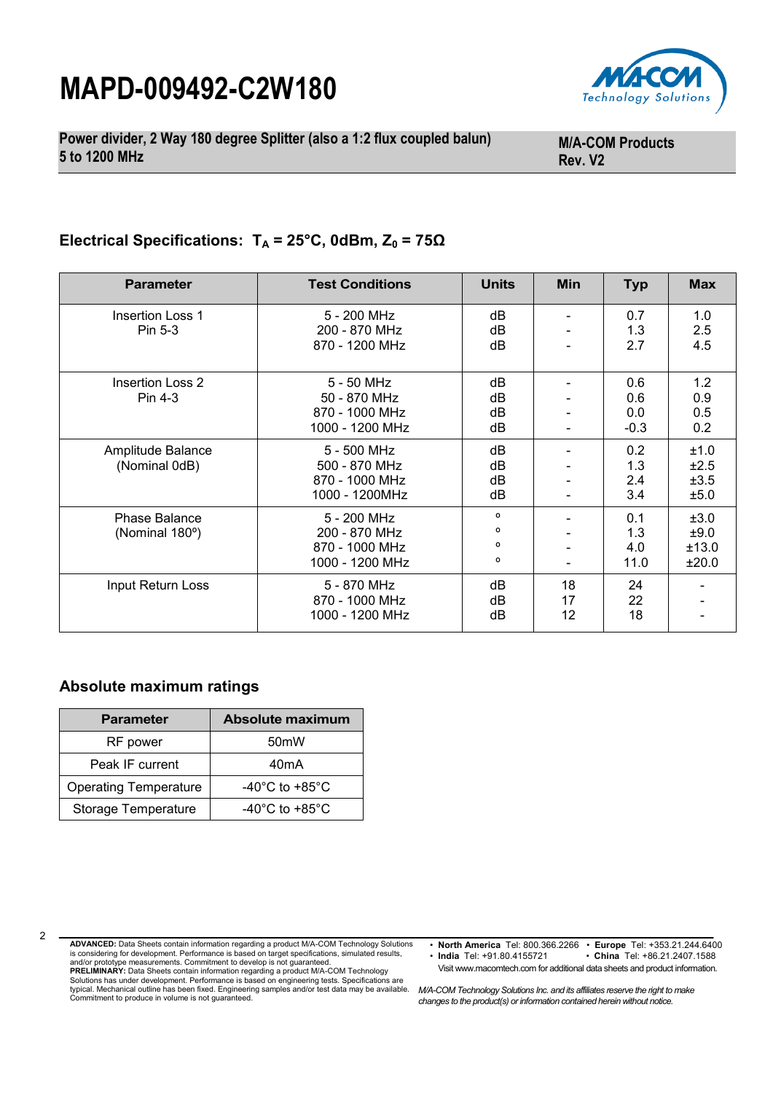# **MAPD-009492-C2W180**



**Power divider, 2 Way 180 degree Splitter (also a 1:2 flux coupled balun) 5 to 1200 MHz**

**M/A-COM Products Rev. V2**

## **Electrical Specifications: T<sup>A</sup> = 25°C, 0dBm, Z<sup>0</sup> = 75Ω**

| <b>Parameter</b>                       | <b>Test Conditions</b>                                            | <b>Units</b>                 | <b>Min</b>     | <b>Typ</b>                  | <b>Max</b>                     |
|----------------------------------------|-------------------------------------------------------------------|------------------------------|----------------|-----------------------------|--------------------------------|
| <b>Insertion Loss 1</b><br>Pin 5-3     | 5 - 200 MHz<br>200 - 870 MHz<br>870 - 1200 MHz                    | dB<br>dB<br>dB               |                | 0.7<br>1.3<br>2.7           | 1.0<br>2.5<br>4.5              |
| Insertion Loss 2<br>Pin 4-3            | 5 - 50 MHz<br>50 - 870 MHz<br>870 - 1000 MHz<br>1000 - 1200 MHz   | dB<br>dB<br>dB<br>dB         |                | 0.6<br>0.6<br>0.0<br>$-0.3$ | 1.2<br>0.9<br>0.5<br>0.2       |
| Amplitude Balance<br>(Nominal 0dB)     | 5 - 500 MHz<br>500 - 870 MHz<br>870 - 1000 MHz<br>1000 - 1200MHz  | dB<br>dB<br>dB<br>dB         |                | 0.2<br>1.3<br>2.4<br>3.4    | ±1.0<br>±2.5<br>±3.5<br>±5.0   |
| <b>Phase Balance</b><br>(Nominal 180°) | 5 - 200 MHz<br>200 - 870 MHz<br>870 - 1000 MHz<br>1000 - 1200 MHz | $\circ$<br>o<br>$\circ$<br>o |                | 0.1<br>1.3<br>4.0<br>11.0   | ±3.0<br>±9.0<br>±13.0<br>±20.0 |
| Input Return Loss                      | 5 - 870 MHz<br>870 - 1000 MHz<br>1000 - 1200 MHz                  | dB<br>dB<br>dB               | 18<br>17<br>12 | 24<br>22<br>18              |                                |

#### **Absolute maximum ratings**

| <b>Parameter</b>             | Absolute maximum                     |  |  |
|------------------------------|--------------------------------------|--|--|
| RF power                     | 50 <sub>m</sub> W                    |  |  |
| Peak IF current              | 40mA                                 |  |  |
| <b>Operating Temperature</b> | -40 $^{\circ}$ C to +85 $^{\circ}$ C |  |  |
| Storage Temperature          | -40 $^{\circ}$ C to +85 $^{\circ}$ C |  |  |

• **North America** Tel: 800.366.2266 • **Europe** Tel: +353.21.244.6400 • China Tel: +86.21.2407.1588 Visit www.macomtech.com for additional data sheets and product information.

**PRELIMINARY:** Data Sheets contain information regarding a product M/A-COM Technology Solutions has under development. Performance is based on engineering tests. Specifications are typical. Mechanical outline has been fixed. Engineering samples and/or test data may be available. Commitment to produce in volume is not guaranteed.

*M/A-COM Technology Solutions Inc. and its affiliates reserve the right to make changes to the product(s) or information contained herein without notice.* 

 $\mathfrak{p}$ 

**ADVANCED:** Data Sheets contain information regarding a product M/A-COM Technology Solutions is considering for development. Performance is based on target specifications, simulated results, and/or prototype measurements. Commitment to develop is not guaranteed.